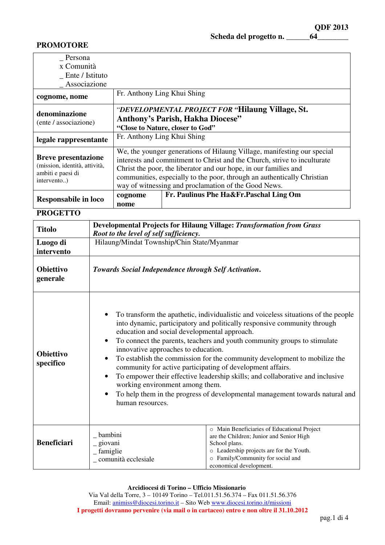Scheda del progetto n. \_\_\_\_\_\_\_64\_\_\_\_\_\_

## **PROMOTORE**

| Persona                                            |                                                                          |                                        |  |
|----------------------------------------------------|--------------------------------------------------------------------------|----------------------------------------|--|
| x Comunità                                         |                                                                          |                                        |  |
| Ente / Istituto                                    |                                                                          |                                        |  |
| Associazione                                       |                                                                          |                                        |  |
| cognome, nome                                      | Fr. Anthony Ling Khui Shing                                              |                                        |  |
| denominazione                                      | <i>"DEVELOPMENTAL PROJECT FOR "Hilaung Village, St.</i>                  |                                        |  |
| (ente / associazione)                              | <b>Anthony's Parish, Hakha Diocese"</b>                                  |                                        |  |
|                                                    | "Close to Nature, closer to God"                                         |                                        |  |
| legale rappresentante                              | Fr. Anthony Ling Khui Shing                                              |                                        |  |
|                                                    | We, the younger generations of Hilaung Village, manifesting our special  |                                        |  |
| <b>Breve presentazione</b>                         | interests and commitment to Christ and the Church, strive to inculturate |                                        |  |
| (mission, identità, attività,<br>ambiti e paesi di | Christ the poor, the liberator and our hope, in our families and         |                                        |  |
| intervento)                                        | communities, especially to the poor, through an authentically Christian  |                                        |  |
|                                                    | way of witnessing and proclamation of the Good News.                     |                                        |  |
| <b>Responsabile in loco</b>                        | cognome                                                                  | Fr. Paulinus Phe Ha&Fr.Paschal Ling Om |  |
|                                                    | nome                                                                     |                                        |  |

#### **PROGETTO**

| <b>Titolo</b>                 | <b>Developmental Projects for Hilaung Village: Transformation from Grass</b><br>Root to the level of self sufficiency.                                                                                                                                                                                                                                                                                                                                                                                                                                                                                                                                                                                                         |                                                                                                                                                                                                                      |  |
|-------------------------------|--------------------------------------------------------------------------------------------------------------------------------------------------------------------------------------------------------------------------------------------------------------------------------------------------------------------------------------------------------------------------------------------------------------------------------------------------------------------------------------------------------------------------------------------------------------------------------------------------------------------------------------------------------------------------------------------------------------------------------|----------------------------------------------------------------------------------------------------------------------------------------------------------------------------------------------------------------------|--|
| Luogo di<br>intervento        | Hilaung/Mindat Township/Chin State/Myanmar                                                                                                                                                                                                                                                                                                                                                                                                                                                                                                                                                                                                                                                                                     |                                                                                                                                                                                                                      |  |
| <b>Obiettivo</b><br>generale  | Towards Social Independence through Self Activation.                                                                                                                                                                                                                                                                                                                                                                                                                                                                                                                                                                                                                                                                           |                                                                                                                                                                                                                      |  |
| <b>Obiettivo</b><br>specifico | To transform the apathetic, individualistic and voiceless situations of the people<br>into dynamic, participatory and politically responsive community through<br>education and social developmental approach.<br>To connect the parents, teachers and youth community groups to stimulate<br>innovative approaches to education.<br>To establish the commission for the community development to mobilize the<br>$\bullet$<br>community for active participating of development affairs.<br>To empower their effective leadership skills; and collaborative and inclusive<br>$\bullet$<br>working environment among them.<br>To help them in the progress of developmental management towards natural and<br>human resources. |                                                                                                                                                                                                                      |  |
| <b>Beneficiari</b>            | bambini<br>_giovani<br>_famiglie<br>comunità ecclesiale                                                                                                                                                                                                                                                                                                                                                                                                                                                                                                                                                                                                                                                                        | o Main Beneficiaries of Educational Project<br>are the Children; Junior and Senior High<br>School plans.<br>o Leadership projects are for the Youth.<br>o Family/Community for social and<br>economical development. |  |

## **Arcidiocesi di Torino – Ufficio Missionario**

Via Val della Torre, 3 – 10149 Torino – Tel.011.51.56.374 – Fax 011.51.56.376 Email: animiss@diocesi.torino.it – Sito Web www.diocesi.torino.it/missioni **I progetti dovranno pervenire (via mail o in cartaceo) entro e non oltre il 31.10.2012**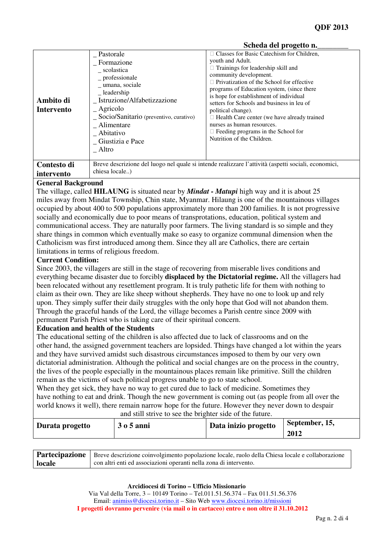|                                |                                                                                                                                                                                                                                                                                      | DUNUA UU PIVEUW II.                                                                                                                                                                                                                                                                                                                                                                                                                                                                      |
|--------------------------------|--------------------------------------------------------------------------------------------------------------------------------------------------------------------------------------------------------------------------------------------------------------------------------------|------------------------------------------------------------------------------------------------------------------------------------------------------------------------------------------------------------------------------------------------------------------------------------------------------------------------------------------------------------------------------------------------------------------------------------------------------------------------------------------|
| Ambito di<br><b>Intervento</b> | Pastorale<br>Formazione<br>scolastica<br>$-$ professionale<br>umana, sociale<br>$\mathbf{L}$ leadership<br>Istruzione/Alfabetizzazione<br>$\overline{\phantom{a}}$ Agricolo<br>$\sum$ Socio/Sanitario (preventivo, curativo)<br>Alimentare<br>Abitativo<br>Giustizia e Pace<br>Altro | Classes for Basic Catechism for Children,<br>youth and Adult.<br>Trainings for leadership skill and<br>community development.<br>Privatization of the School for effective<br>programs of Education system, (since there<br>is hope for establishment of individual<br>setters for Schools and business in leu of<br>political change).<br>Health Care center (we have already trained<br>nurses as human resources.<br>Feeding programs in the School for<br>Nutrition of the Children. |
| Contesto di<br>intervento      | chiesa locale)                                                                                                                                                                                                                                                                       | Breve descrizione del luogo nel quale si intende realizzare l'attività (aspetti sociali, economici,                                                                                                                                                                                                                                                                                                                                                                                      |
|                                |                                                                                                                                                                                                                                                                                      |                                                                                                                                                                                                                                                                                                                                                                                                                                                                                          |

#### **Scheda del progetto n.\_\_\_\_\_\_\_\_**

## **General Background**

The village, called **HILAUNG** is situated near by *Mindat - Matupi* high way and it is about 25 miles away from Mindat Township, Chin state, Myanmar. Hilaung is one of the mountainous villages occupied by about 400 to 500 populations approximately more than 200 families. It is not progressive socially and economically due to poor means of transprotations, education, political system and communicational access. They are naturally poor farmers. The living standard is so simple and they share things in common which eventually make so easy to organize communal dimension when the Catholicism was first introduced among them. Since they all are Catholics, there are certain limitations in terms of religious freedom.

### **Current Condition:**

Since 2003, the villagers are still in the stage of recovering from miserable lives conditions and everything became disaster due to forcibly **displaced by the Dictatorial regime.** All the villagers had been relocated without any resettlement program. It is truly pathetic life for them with nothing to claim as their own. They are like sheep without shepherds. They have no one to look up and rely upon. They simply suffer their daily struggles with the only hope that God will not abandon them. Through the graceful hands of the Lord, the village becomes a Parish centre since 2009 with permanent Parish Priest who is taking care of their spiritual concern.

#### **Education and health of the Students**

The educational setting of the children is also affected due to lack of classrooms and on the other hand, the assigned government teachers are lopsided. Things have changed a lot within the years and they have survived amidst such disastrous circumstances imposed to them by our very own dictatorial administration. Although the political and social changes are on the process in the country, the lives of the people especially in the mountainous places remain like primitive. Still the children remain as the victims of such political progress unable to go to state school.

When they get sick, they have no way to get cured due to lack of medicine. Sometimes they have nothing to eat and drink. Though the new government is coming out (as people from all over the world knows it well), there remain narrow hope for the future. However they never down to despair and still strive to see the brighter side of the future.

| Durata progetto | $305$ anni | Data inizio progetto | September, 15, |
|-----------------|------------|----------------------|----------------|
|                 |            |                      | 2012           |

|        | Partecipazione   Breve descrizione coinvolgimento popolazione locale, ruolo della Chiesa locale e collaborazione |
|--------|------------------------------------------------------------------------------------------------------------------|
| locale | con altri enti ed associazioni operanti nella zona di intervento.                                                |

**Arcidiocesi di Torino – Ufficio Missionario** 

Via Val della Torre, 3 – 10149 Torino – Tel.011.51.56.374 – Fax 011.51.56.376 Email: animiss@diocesi.torino.it – Sito Web www.diocesi.torino.it/missioni **I progetti dovranno pervenire (via mail o in cartaceo) entro e non oltre il 31.10.2012**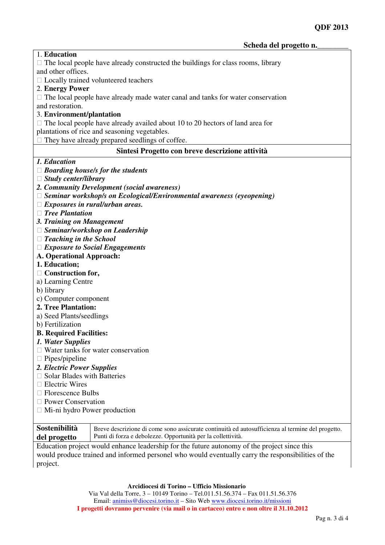| 1. Education                                                                     |                                                                                                                                                                  |  |  |
|----------------------------------------------------------------------------------|------------------------------------------------------------------------------------------------------------------------------------------------------------------|--|--|
| The local people have already constructed the buildings for class rooms, library |                                                                                                                                                                  |  |  |
| and other offices.                                                               |                                                                                                                                                                  |  |  |
|                                                                                  | Locally trained volunteered teachers                                                                                                                             |  |  |
| 2. Energy Power                                                                  |                                                                                                                                                                  |  |  |
|                                                                                  | The local people have already made water canal and tanks for water conservation                                                                                  |  |  |
| and restoration.                                                                 |                                                                                                                                                                  |  |  |
| 3. Environment/plantation                                                        |                                                                                                                                                                  |  |  |
|                                                                                  | The local people have already availed about 10 to 20 hectors of land area for                                                                                    |  |  |
|                                                                                  | plantations of rice and seasoning vegetables.                                                                                                                    |  |  |
|                                                                                  | They have already prepared seedlings of coffee.                                                                                                                  |  |  |
|                                                                                  | Sintesi Progetto con breve descrizione attività                                                                                                                  |  |  |
| 1. Education                                                                     |                                                                                                                                                                  |  |  |
|                                                                                  | <b>Boarding house/s for the students</b>                                                                                                                         |  |  |
| <b>Study center/library</b>                                                      |                                                                                                                                                                  |  |  |
|                                                                                  | 2. Community Development (social awareness)                                                                                                                      |  |  |
|                                                                                  | Seminar workshop/s on Ecological/Environmental awareness (eyeopening)                                                                                            |  |  |
|                                                                                  | Exposures in rural/urban areas.                                                                                                                                  |  |  |
| <b>Tree Plantation</b>                                                           |                                                                                                                                                                  |  |  |
| 3. Training on Management                                                        |                                                                                                                                                                  |  |  |
|                                                                                  | Seminar/workshop on Leadership                                                                                                                                   |  |  |
| <b>Teaching in the School</b>                                                    |                                                                                                                                                                  |  |  |
|                                                                                  | <b>Exposure to Social Engagements</b>                                                                                                                            |  |  |
| <b>A. Operational Approach:</b>                                                  |                                                                                                                                                                  |  |  |
| 1. Education;                                                                    |                                                                                                                                                                  |  |  |
| Construction for,                                                                |                                                                                                                                                                  |  |  |
| a) Learning Centre                                                               |                                                                                                                                                                  |  |  |
| b) library                                                                       |                                                                                                                                                                  |  |  |
| c) Computer component                                                            |                                                                                                                                                                  |  |  |
| 2. Tree Plantation:                                                              |                                                                                                                                                                  |  |  |
| a) Seed Plants/seedlings                                                         |                                                                                                                                                                  |  |  |
| b) Fertilization                                                                 |                                                                                                                                                                  |  |  |
| <b>B. Required Facilities:</b>                                                   |                                                                                                                                                                  |  |  |
| 1. Water Supplies                                                                |                                                                                                                                                                  |  |  |
|                                                                                  | Water tanks for water conservation                                                                                                                               |  |  |
| Pipes/pipeline                                                                   |                                                                                                                                                                  |  |  |
| 2. Electric Power Supplies                                                       |                                                                                                                                                                  |  |  |
| <b>Solar Blades with Batteries</b>                                               |                                                                                                                                                                  |  |  |
| <b>Electric Wires</b>                                                            |                                                                                                                                                                  |  |  |
| <b>Florescence Bulbs</b>                                                         |                                                                                                                                                                  |  |  |
| <b>Power Conservation</b>                                                        |                                                                                                                                                                  |  |  |
| Mi-ni hydro Power production                                                     |                                                                                                                                                                  |  |  |
| Sostenibilità                                                                    |                                                                                                                                                                  |  |  |
| del progetto                                                                     | Breve descrizione di come sono assicurate continuità ed autosufficienza al termine del progetto.<br>Punti di forza e debolezze. Opportunità per la collettività. |  |  |
|                                                                                  |                                                                                                                                                                  |  |  |

Education project would enhance leadership for the future autonomy of the project since this would produce trained and informed personel who would eventually carry the responsibilities of the project.

**Arcidiocesi di Torino – Ufficio Missionario** 

Via Val della Torre, 3 – 10149 Torino – Tel.011.51.56.374 – Fax 011.51.56.376 Email: animiss@diocesi.torino.it – Sito Web www.diocesi.torino.it/missioni **I progetti dovranno pervenire (via mail o in cartaceo) entro e non oltre il 31.10.2012**